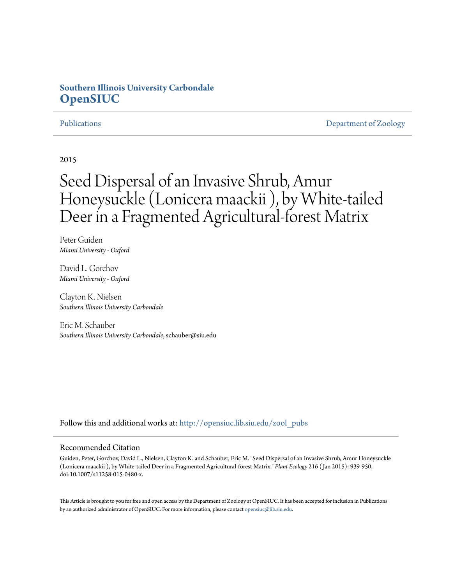# **Southern Illinois University Carbondale [OpenSIUC](http://opensiuc.lib.siu.edu?utm_source=opensiuc.lib.siu.edu%2Fzool_pubs%2F80&utm_medium=PDF&utm_campaign=PDFCoverPages)**

[Publications](http://opensiuc.lib.siu.edu/zool_pubs?utm_source=opensiuc.lib.siu.edu%2Fzool_pubs%2F80&utm_medium=PDF&utm_campaign=PDFCoverPages) **[Department of Zoology](http://opensiuc.lib.siu.edu/zool?utm_source=opensiuc.lib.siu.edu%2Fzool_pubs%2F80&utm_medium=PDF&utm_campaign=PDFCoverPages)** 

2015

# Seed Dispersal of an Invasive Shrub, Amur Honeysuckle (Lonicera maackii ), by White-tailed Deer in a Fragmented Agricultural-forest Matrix

Peter Guiden *Miami University - Oxford*

David L. Gorchov *Miami University - Oxford*

Clayton K. Nielsen *Southern Illinois University Carbondale*

Eric M. Schauber *Southern Illinois University Carbondale*, schauber@siu.edu

Follow this and additional works at: [http://opensiuc.lib.siu.edu/zool\\_pubs](http://opensiuc.lib.siu.edu/zool_pubs?utm_source=opensiuc.lib.siu.edu%2Fzool_pubs%2F80&utm_medium=PDF&utm_campaign=PDFCoverPages)

#### Recommended Citation

Guiden, Peter, Gorchov, David L., Nielsen, Clayton K. and Schauber, Eric M. "Seed Dispersal of an Invasive Shrub, Amur Honeysuckle (Lonicera maackii ), by White-tailed Deer in a Fragmented Agricultural-forest Matrix." *Plant Ecology* 216 ( Jan 2015): 939-950. doi:10.1007/s11258-015-0480-x.

This Article is brought to you for free and open access by the Department of Zoology at OpenSIUC. It has been accepted for inclusion in Publications by an authorized administrator of OpenSIUC. For more information, please contact [opensiuc@lib.siu.edu.](mailto:opensiuc@lib.siu.edu)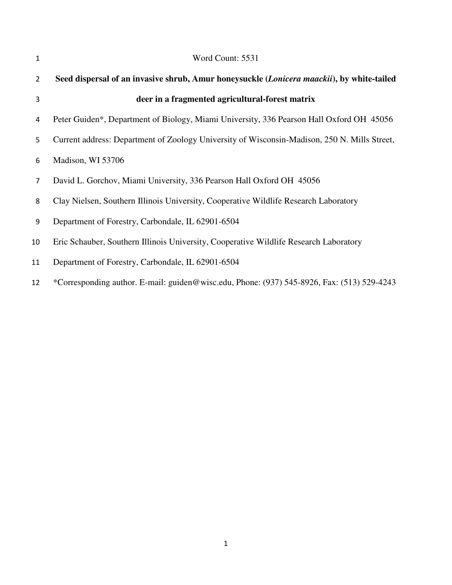| $\mathbf{1}$   | Word Count: 5531                                                                             |
|----------------|----------------------------------------------------------------------------------------------|
| $\overline{2}$ | Seed dispersal of an invasive shrub, Amur honeysuckle (Lonicera maackii), by white-tailed    |
| 3              | deer in a fragmented agricultural-forest matrix                                              |
| 4              | Peter Guiden*, Department of Biology, Miami University, 336 Pearson Hall Oxford OH 45056     |
| 5.             | Current address: Department of Zoology University of Wisconsin-Madison, 250 N. Mills Street, |
| 6              | Madison, WI 53706                                                                            |
| 7              | David L. Gorchov, Miami University, 336 Pearson Hall Oxford OH 45056                         |
| 8              | Clay Nielsen, Southern Illinois University, Cooperative Wildlife Research Laboratory         |
| 9              | Department of Forestry, Carbondale, IL 62901-6504                                            |
| 10             | Eric Schauber, Southern Illinois University, Cooperative Wildlife Research Laboratory        |
| 11             | Department of Forestry, Carbondale, IL 62901-6504                                            |
| 12             | *Corresponding author. E-mail: guiden@wisc.edu, Phone: (937) 545-8926, Fax: (513) 529-4243   |
|                |                                                                                              |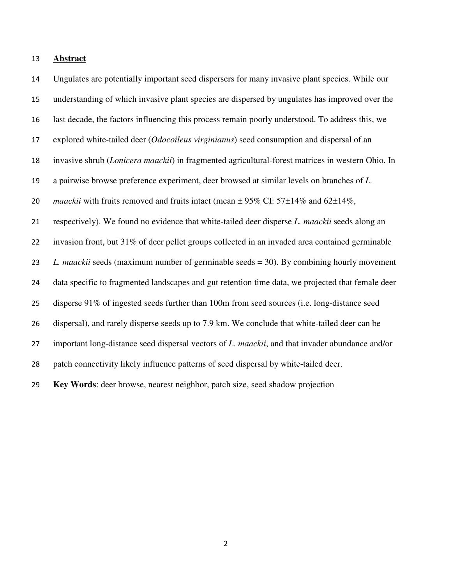#### **Abstract**

Ungulates are potentially important seed dispersers for many invasive plant species. While our understanding of which invasive plant species are dispersed by ungulates has improved over the last decade, the factors influencing this process remain poorly understood. To address this, we explored white-tailed deer (*Odocoileus virginianus*) seed consumption and dispersal of an invasive shrub (*Lonicera maackii*) in fragmented agricultural-forest matrices in western Ohio. In a pairwise browse preference experiment, deer browsed at similar levels on branches of *L.*  20 *maackii* with fruits removed and fruits intact (mean  $\pm$  95% CI: 57 $\pm$ 14% and 62 $\pm$ 14%, respectively). We found no evidence that white-tailed deer disperse *L. maackii* seeds along an invasion front, but 31% of deer pellet groups collected in an invaded area contained germinable *L. maackii* seeds (maximum number of germinable seeds = 30). By combining hourly movement data specific to fragmented landscapes and gut retention time data, we projected that female deer disperse 91% of ingested seeds further than 100m from seed sources (i.e. long-distance seed dispersal), and rarely disperse seeds up to 7.9 km. We conclude that white-tailed deer can be important long-distance seed dispersal vectors of *L. maackii*, and that invader abundance and/or patch connectivity likely influence patterns of seed dispersal by white-tailed deer. **Key Words**: deer browse, nearest neighbor, patch size, seed shadow projection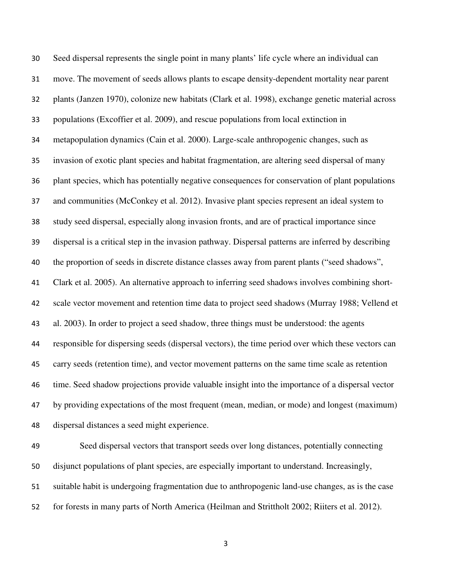Seed dispersal represents the single point in many plants' life cycle where an individual can move. The movement of seeds allows plants to escape density-dependent mortality near parent plants (Janzen 1970), colonize new habitats (Clark et al. 1998), exchange genetic material across populations (Excoffier et al. 2009), and rescue populations from local extinction in metapopulation dynamics (Cain et al. 2000). Large-scale anthropogenic changes, such as invasion of exotic plant species and habitat fragmentation, are altering seed dispersal of many plant species, which has potentially negative consequences for conservation of plant populations and communities (McConkey et al. 2012). Invasive plant species represent an ideal system to study seed dispersal, especially along invasion fronts, and are of practical importance since dispersal is a critical step in the invasion pathway. Dispersal patterns are inferred by describing the proportion of seeds in discrete distance classes away from parent plants ("seed shadows", Clark et al. 2005). An alternative approach to inferring seed shadows involves combining short-scale vector movement and retention time data to project seed shadows (Murray 1988; Vellend et al. 2003). In order to project a seed shadow, three things must be understood: the agents responsible for dispersing seeds (dispersal vectors), the time period over which these vectors can carry seeds (retention time), and vector movement patterns on the same time scale as retention time. Seed shadow projections provide valuable insight into the importance of a dispersal vector by providing expectations of the most frequent (mean, median, or mode) and longest (maximum) dispersal distances a seed might experience.

Seed dispersal vectors that transport seeds over long distances, potentially connecting disjunct populations of plant species, are especially important to understand. Increasingly, suitable habit is undergoing fragmentation due to anthropogenic land-use changes, as is the case for forests in many parts of North America (Heilman and Strittholt 2002; Riiters et al. 2012).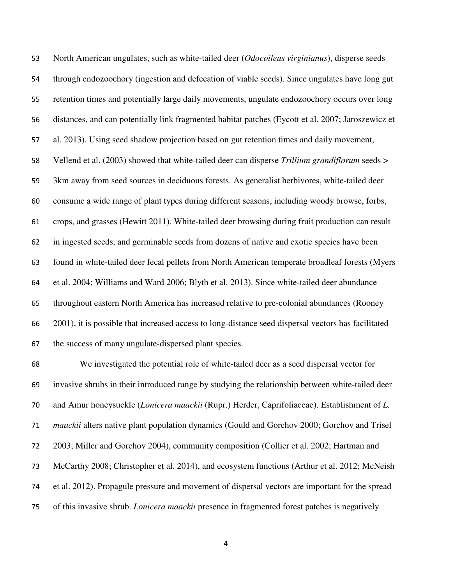North American ungulates, such as white-tailed deer (*Odocoileus virginianus*), disperse seeds through endozoochory (ingestion and defecation of viable seeds). Since ungulates have long gut retention times and potentially large daily movements, ungulate endozoochory occurs over long distances, and can potentially link fragmented habitat patches (Eycott et al. 2007; Jaroszewicz et al. 2013). Using seed shadow projection based on gut retention times and daily movement, Vellend et al. (2003) showed that white-tailed deer can disperse *Trillium grandiflorum* seeds > 3km away from seed sources in deciduous forests. As generalist herbivores, white-tailed deer consume a wide range of plant types during different seasons, including woody browse, forbs, crops, and grasses (Hewitt 2011). White-tailed deer browsing during fruit production can result in ingested seeds, and germinable seeds from dozens of native and exotic species have been found in white-tailed deer fecal pellets from North American temperate broadleaf forests (Myers et al. 2004; Williams and Ward 2006; Blyth et al. 2013). Since white-tailed deer abundance throughout eastern North America has increased relative to pre-colonial abundances (Rooney 2001), it is possible that increased access to long-distance seed dispersal vectors has facilitated the success of many ungulate-dispersed plant species.

We investigated the potential role of white-tailed deer as a seed dispersal vector for invasive shrubs in their introduced range by studying the relationship between white-tailed deer and Amur honeysuckle (*Lonicera maackii* (Rupr.) Herder, Caprifoliaceae). Establishment of *L. maackii* alters native plant population dynamics (Gould and Gorchov 2000; Gorchov and Trisel 2003; Miller and Gorchov 2004), community composition (Collier et al. 2002; Hartman and McCarthy 2008; Christopher et al. 2014), and ecosystem functions (Arthur et al. 2012; McNeish et al. 2012). Propagule pressure and movement of dispersal vectors are important for the spread of this invasive shrub. *Lonicera maackii* presence in fragmented forest patches is negatively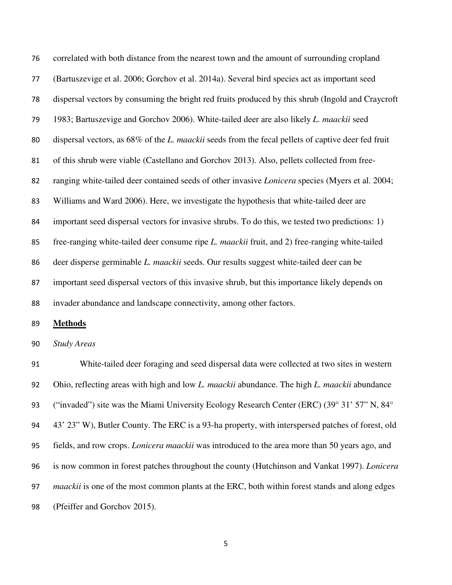correlated with both distance from the nearest town and the amount of surrounding cropland (Bartuszevige et al. 2006; Gorchov et al. 2014a). Several bird species act as important seed dispersal vectors by consuming the bright red fruits produced by this shrub (Ingold and Craycroft 1983; Bartuszevige and Gorchov 2006). White-tailed deer are also likely *L. maackii* seed dispersal vectors, as 68% of the *L. maackii* seeds from the fecal pellets of captive deer fed fruit of this shrub were viable (Castellano and Gorchov 2013). Also, pellets collected from free-ranging white-tailed deer contained seeds of other invasive *Lonicera* species (Myers et al. 2004; Williams and Ward 2006). Here, we investigate the hypothesis that white-tailed deer are important seed dispersal vectors for invasive shrubs. To do this, we tested two predictions: 1) free-ranging white-tailed deer consume ripe *L. maackii* fruit, and 2) free-ranging white-tailed deer disperse germinable *L. maackii* seeds. Our results suggest white-tailed deer can be important seed dispersal vectors of this invasive shrub, but this importance likely depends on invader abundance and landscape connectivity, among other factors.

**Methods**

*Study Areas* 

White-tailed deer foraging and seed dispersal data were collected at two sites in western Ohio, reflecting areas with high and low *L. maackii* abundance. The high *L. maackii* abundance ("invaded") site was the Miami University Ecology Research Center (ERC) (39° 31' 57" N, 84° 43' 23" W), Butler County. The ERC is a 93-ha property, with interspersed patches of forest, old fields, and row crops. *Lonicera maackii* was introduced to the area more than 50 years ago, and is now common in forest patches throughout the county (Hutchinson and Vankat 1997). *Lonicera maackii* is one of the most common plants at the ERC, both within forest stands and along edges (Pfeiffer and Gorchov 2015).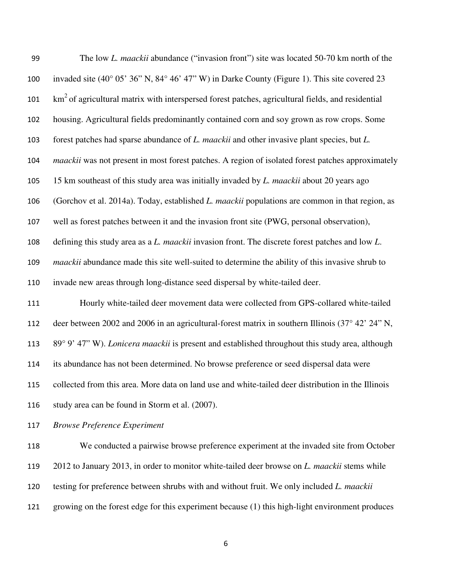| 99  | The low L. maackii abundance ("invasion front") site was located 50-70 km north of the                   |
|-----|----------------------------------------------------------------------------------------------------------|
| 100 | invaded site (40° 05' 36" N, 84° 46' 47" W) in Darke County (Figure 1). This site covered 23             |
| 101 | $km2$ of agricultural matrix with interspersed forest patches, agricultural fields, and residential      |
| 102 | housing. Agricultural fields predominantly contained corn and soy grown as row crops. Some               |
| 103 | forest patches had sparse abundance of L. maackii and other invasive plant species, but L.               |
| 104 | <i>maackii</i> was not present in most forest patches. A region of isolated forest patches approximately |
| 105 | 15 km southeast of this study area was initially invaded by L. maackii about 20 years ago                |
| 106 | (Gorchov et al. 2014a). Today, established L. maackii populations are common in that region, as          |
| 107 | well as forest patches between it and the invasion front site (PWG, personal observation),               |
| 108 | defining this study area as a L. maackii invasion front. The discrete forest patches and low L.          |
| 109 | <i>maackii</i> abundance made this site well-suited to determine the ability of this invasive shrub to   |
| 110 | invade new areas through long-distance seed dispersal by white-tailed deer.                              |
| 111 | Hourly white-tailed deer movement data were collected from GPS-collared white-tailed                     |
| 112 | deer between 2002 and 2006 in an agricultural-forest matrix in southern Illinois (37° 42' 24" N,         |
| 113 | 89° 9' 47" W). Lonicera maackii is present and established throughout this study area, although          |
| 114 | its abundance has not been determined. No browse preference or seed dispersal data were                  |
| 115 | collected from this area. More data on land use and white-tailed deer distribution in the Illinois       |
| 116 | study area can be found in Storm et al. (2007).                                                          |
| 117 | <b>Browse Preference Experiment</b>                                                                      |

We conducted a pairwise browse preference experiment at the invaded site from October 2012 to January 2013, in order to monitor white-tailed deer browse on *L. maackii* stems while testing for preference between shrubs with and without fruit. We only included *L. maackii* growing on the forest edge for this experiment because (1) this high-light environment produces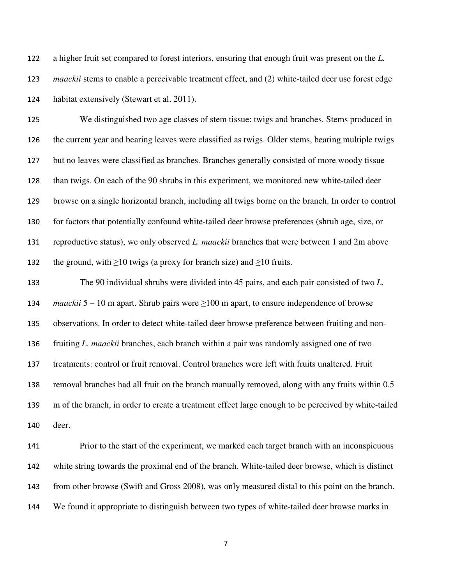a higher fruit set compared to forest interiors, ensuring that enough fruit was present on the *L. maackii* stems to enable a perceivable treatment effect, and (2) white-tailed deer use forest edge habitat extensively (Stewart et al. 2011).

We distinguished two age classes of stem tissue: twigs and branches. Stems produced in the current year and bearing leaves were classified as twigs. Older stems, bearing multiple twigs but no leaves were classified as branches. Branches generally consisted of more woody tissue than twigs. On each of the 90 shrubs in this experiment, we monitored new white-tailed deer browse on a single horizontal branch, including all twigs borne on the branch. In order to control for factors that potentially confound white-tailed deer browse preferences (shrub age, size, or reproductive status), we only observed *L. maackii* branches that were between 1 and 2m above 132 the ground, with  $\geq 10$  twigs (a proxy for branch size) and  $\geq 10$  fruits.

The 90 individual shrubs were divided into 45 pairs, and each pair consisted of two *L. maackii* 5 – 10 m apart. Shrub pairs were ≥100 m apart, to ensure independence of browse observations. In order to detect white-tailed deer browse preference between fruiting and non-fruiting *L. maackii* branches, each branch within a pair was randomly assigned one of two treatments: control or fruit removal. Control branches were left with fruits unaltered. Fruit removal branches had all fruit on the branch manually removed, along with any fruits within 0.5 m of the branch, in order to create a treatment effect large enough to be perceived by white-tailed deer.

Prior to the start of the experiment, we marked each target branch with an inconspicuous white string towards the proximal end of the branch. White-tailed deer browse, which is distinct from other browse (Swift and Gross 2008), was only measured distal to this point on the branch. We found it appropriate to distinguish between two types of white-tailed deer browse marks in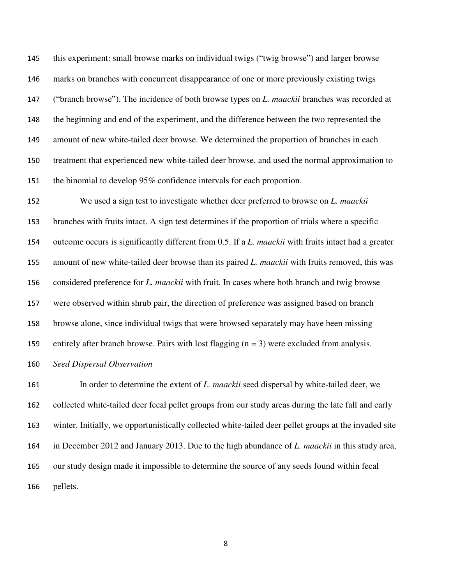this experiment: small browse marks on individual twigs ("twig browse") and larger browse marks on branches with concurrent disappearance of one or more previously existing twigs ("branch browse"). The incidence of both browse types on *L. maackii* branches was recorded at the beginning and end of the experiment, and the difference between the two represented the amount of new white-tailed deer browse. We determined the proportion of branches in each treatment that experienced new white-tailed deer browse, and used the normal approximation to the binomial to develop 95% confidence intervals for each proportion.

We used a sign test to investigate whether deer preferred to browse on *L. maackii* branches with fruits intact. A sign test determines if the proportion of trials where a specific outcome occurs is significantly different from 0.5. If a *L. maackii* with fruits intact had a greater amount of new white-tailed deer browse than its paired *L. maackii* with fruits removed, this was considered preference for *L. maackii* with fruit. In cases where both branch and twig browse were observed within shrub pair, the direction of preference was assigned based on branch browse alone, since individual twigs that were browsed separately may have been missing 159 entirely after branch browse. Pairs with lost flagging  $(n = 3)$  were excluded from analysis. *Seed Dispersal Observation*

In order to determine the extent of *L. maackii* seed dispersal by white-tailed deer, we collected white-tailed deer fecal pellet groups from our study areas during the late fall and early winter. Initially, we opportunistically collected white-tailed deer pellet groups at the invaded site in December 2012 and January 2013. Due to the high abundance of *L. maackii* in this study area, our study design made it impossible to determine the source of any seeds found within fecal pellets.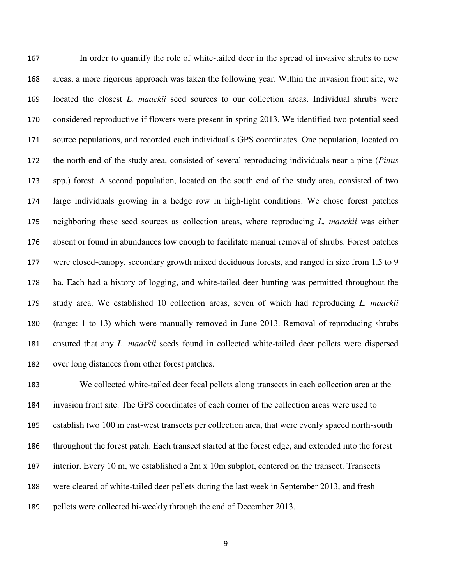In order to quantify the role of white-tailed deer in the spread of invasive shrubs to new areas, a more rigorous approach was taken the following year. Within the invasion front site, we located the closest *L. maackii* seed sources to our collection areas. Individual shrubs were considered reproductive if flowers were present in spring 2013. We identified two potential seed source populations, and recorded each individual's GPS coordinates. One population, located on the north end of the study area, consisted of several reproducing individuals near a pine (*Pinus* spp.) forest. A second population, located on the south end of the study area, consisted of two large individuals growing in a hedge row in high-light conditions. We chose forest patches neighboring these seed sources as collection areas, where reproducing *L. maackii* was either absent or found in abundances low enough to facilitate manual removal of shrubs. Forest patches were closed-canopy, secondary growth mixed deciduous forests, and ranged in size from 1.5 to 9 ha. Each had a history of logging, and white-tailed deer hunting was permitted throughout the study area. We established 10 collection areas, seven of which had reproducing *L. maackii* (range: 1 to 13) which were manually removed in June 2013. Removal of reproducing shrubs ensured that any *L. maackii* seeds found in collected white-tailed deer pellets were dispersed over long distances from other forest patches.

We collected white-tailed deer fecal pellets along transects in each collection area at the invasion front site. The GPS coordinates of each corner of the collection areas were used to establish two 100 m east-west transects per collection area, that were evenly spaced north-south throughout the forest patch. Each transect started at the forest edge, and extended into the forest interior. Every 10 m, we established a 2m x 10m subplot, centered on the transect. Transects were cleared of white-tailed deer pellets during the last week in September 2013, and fresh pellets were collected bi-weekly through the end of December 2013.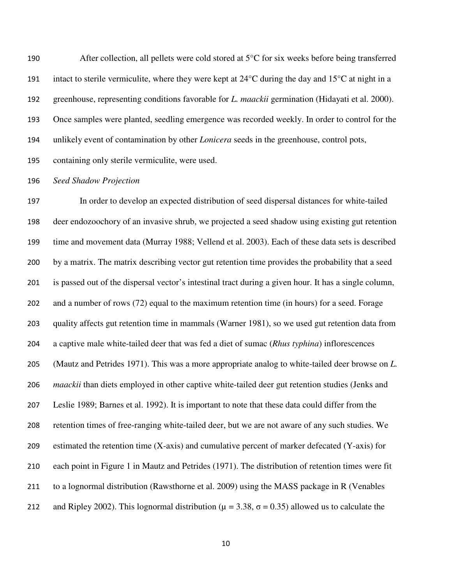After collection, all pellets were cold stored at 5°C for six weeks before being transferred 191 intact to sterile vermiculite, where they were kept at  $24^{\circ}$ C during the day and  $15^{\circ}$ C at night in a greenhouse, representing conditions favorable for *L. maackii* germination (Hidayati et al. 2000). Once samples were planted, seedling emergence was recorded weekly. In order to control for the unlikely event of contamination by other *Lonicera* seeds in the greenhouse, control pots, containing only sterile vermiculite, were used.

## *Seed Shadow Projection*

In order to develop an expected distribution of seed dispersal distances for white-tailed deer endozoochory of an invasive shrub, we projected a seed shadow using existing gut retention time and movement data (Murray 1988; Vellend et al. 2003). Each of these data sets is described by a matrix. The matrix describing vector gut retention time provides the probability that a seed is passed out of the dispersal vector's intestinal tract during a given hour. It has a single column, and a number of rows (72) equal to the maximum retention time (in hours) for a seed. Forage quality affects gut retention time in mammals (Warner 1981), so we used gut retention data from a captive male white-tailed deer that was fed a diet of sumac (*Rhus typhina*) inflorescences (Mautz and Petrides 1971). This was a more appropriate analog to white-tailed deer browse on *L. maackii* than diets employed in other captive white-tailed deer gut retention studies (Jenks and Leslie 1989; Barnes et al. 1992). It is important to note that these data could differ from the retention times of free-ranging white-tailed deer, but we are not aware of any such studies. We estimated the retention time (X-axis) and cumulative percent of marker defecated (Y-axis) for each point in Figure 1 in Mautz and Petrides (1971). The distribution of retention times were fit to a lognormal distribution (Rawsthorne et al. 2009) using the MASS package in R (Venables 212 and Ripley 2002). This lognormal distribution ( $\mu = 3.38$ ,  $\sigma = 0.35$ ) allowed us to calculate the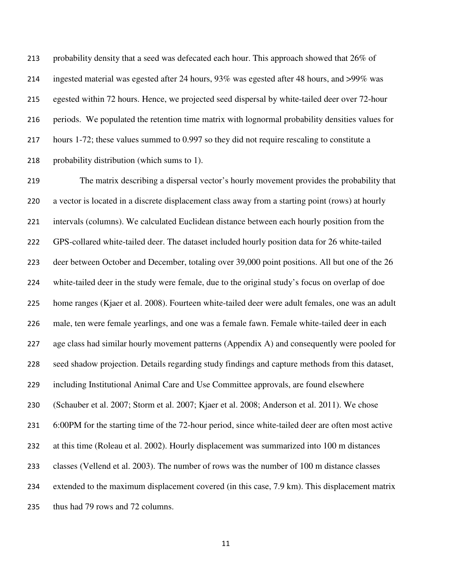213 probability density that a seed was defecated each hour. This approach showed that 26% of ingested material was egested after 24 hours, 93% was egested after 48 hours, and >99% was egested within 72 hours. Hence, we projected seed dispersal by white-tailed deer over 72-hour periods. We populated the retention time matrix with lognormal probability densities values for hours 1-72; these values summed to 0.997 so they did not require rescaling to constitute a probability distribution (which sums to 1).

The matrix describing a dispersal vector's hourly movement provides the probability that a vector is located in a discrete displacement class away from a starting point (rows) at hourly intervals (columns). We calculated Euclidean distance between each hourly position from the GPS-collared white-tailed deer. The dataset included hourly position data for 26 white-tailed deer between October and December, totaling over 39,000 point positions. All but one of the 26 white-tailed deer in the study were female, due to the original study's focus on overlap of doe home ranges (Kjaer et al. 2008). Fourteen white-tailed deer were adult females, one was an adult male, ten were female yearlings, and one was a female fawn. Female white-tailed deer in each age class had similar hourly movement patterns (Appendix A) and consequently were pooled for seed shadow projection. Details regarding study findings and capture methods from this dataset, including Institutional Animal Care and Use Committee approvals, are found elsewhere (Schauber et al. 2007; Storm et al. 2007; Kjaer et al. 2008; Anderson et al. 2011). We chose 6:00PM for the starting time of the 72-hour period, since white-tailed deer are often most active at this time (Roleau et al. 2002). Hourly displacement was summarized into 100 m distances classes (Vellend et al. 2003). The number of rows was the number of 100 m distance classes extended to the maximum displacement covered (in this case, 7.9 km). This displacement matrix thus had 79 rows and 72 columns.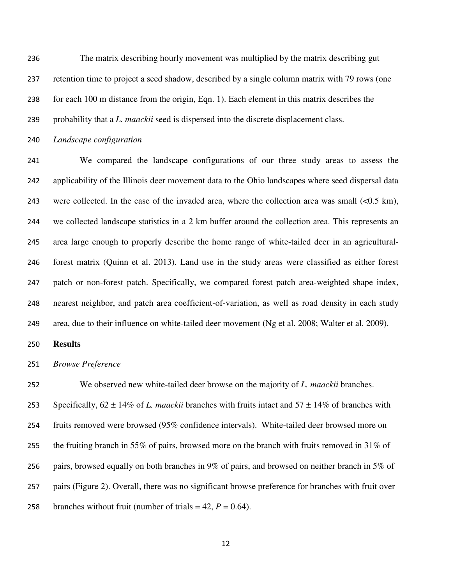The matrix describing hourly movement was multiplied by the matrix describing gut retention time to project a seed shadow, described by a single column matrix with 79 rows (one for each 100 m distance from the origin, Eqn. 1). Each element in this matrix describes the

probability that a *L. maackii* seed is dispersed into the discrete displacement class.

*Landscape configuration*

We compared the landscape configurations of our three study areas to assess the applicability of the Illinois deer movement data to the Ohio landscapes where seed dispersal data were collected. In the case of the invaded area, where the collection area was small (<0.5 km), we collected landscape statistics in a 2 km buffer around the collection area. This represents an area large enough to properly describe the home range of white-tailed deer in an agricultural-forest matrix (Quinn et al. 2013). Land use in the study areas were classified as either forest patch or non-forest patch. Specifically, we compared forest patch area-weighted shape index, nearest neighbor, and patch area coefficient-of-variation, as well as road density in each study area, due to their influence on white-tailed deer movement (Ng et al. 2008; Walter et al. 2009).

**Results** 

*Browse Preference* 

We observed new white-tailed deer browse on the majority of *L. maackii* branches. 253 Specifically,  $62 \pm 14\%$  of *L. maackii* branches with fruits intact and  $57 \pm 14\%$  of branches with fruits removed were browsed (95% confidence intervals). White-tailed deer browsed more on 255 the fruiting branch in 55% of pairs, browsed more on the branch with fruits removed in 31% of pairs, browsed equally on both branches in 9% of pairs, and browsed on neither branch in 5% of pairs (Figure 2). Overall, there was no significant browse preference for branches with fruit over 258 branches without fruit (number of trials  $= 42$ ,  $P = 0.64$ ).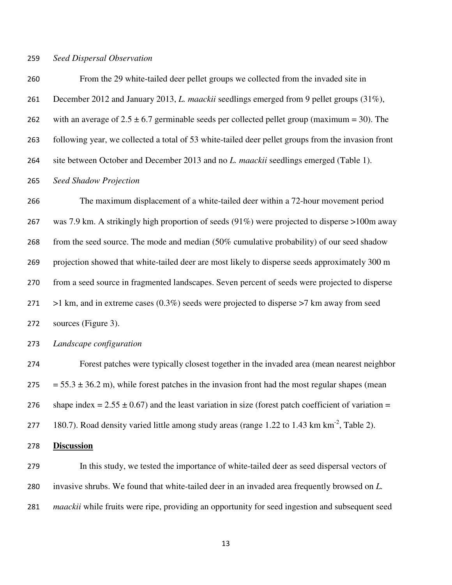#### *Seed Dispersal Observation*

From the 29 white-tailed deer pellet groups we collected from the invaded site in December 2012 and January 2013, *L. maackii* seedlings emerged from 9 pellet groups (31%), 262 with an average of  $2.5 \pm 6.7$  germinable seeds per collected pellet group (maximum = 30). The following year, we collected a total of 53 white-tailed deer pellet groups from the invasion front site between October and December 2013 and no *L. maackii* seedlings emerged (Table 1). *Seed Shadow Projection* The maximum displacement of a white-tailed deer within a 72-hour movement period was 7.9 km. A strikingly high proportion of seeds (91%) were projected to disperse >100m away from the seed source. The mode and median (50% cumulative probability) of our seed shadow projection showed that white-tailed deer are most likely to disperse seeds approximately 300 m from a seed source in fragmented landscapes. Seven percent of seeds were projected to disperse  $>1$  km, and in extreme cases (0.3%) seeds were projected to disperse  $>7$  km away from seed

sources (Figure 3).

*Landscape configuration*

Forest patches were typically closest together in the invaded area (mean nearest neighbor  $275 = 55.3 \pm 36.2$  m), while forest patches in the invasion front had the most regular shapes (mean 276 shape index =  $2.55 \pm 0.67$ ) and the least variation in size (forest patch coefficient of variation = 277 180.7). Road density varied little among study areas (range 1.22 to 1.43 km km<sup>-2</sup>, Table 2).

#### **Discussion**

In this study, we tested the importance of white-tailed deer as seed dispersal vectors of invasive shrubs. We found that white-tailed deer in an invaded area frequently browsed on *L. maackii* while fruits were ripe, providing an opportunity for seed ingestion and subsequent seed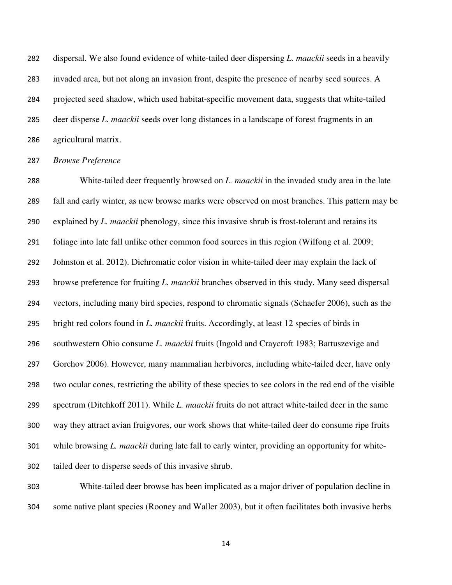dispersal. We also found evidence of white-tailed deer dispersing *L. maackii* seeds in a heavily invaded area, but not along an invasion front, despite the presence of nearby seed sources. A projected seed shadow, which used habitat-specific movement data, suggests that white-tailed deer disperse *L. maackii* seeds over long distances in a landscape of forest fragments in an agricultural matrix.

*Browse Preference* 

White-tailed deer frequently browsed on *L. maackii* in the invaded study area in the late fall and early winter, as new browse marks were observed on most branches. This pattern may be explained by *L. maackii* phenology, since this invasive shrub is frost-tolerant and retains its foliage into late fall unlike other common food sources in this region (Wilfong et al. 2009; Johnston et al. 2012). Dichromatic color vision in white-tailed deer may explain the lack of browse preference for fruiting *L. maackii* branches observed in this study. Many seed dispersal vectors, including many bird species, respond to chromatic signals (Schaefer 2006), such as the bright red colors found in *L. maackii* fruits. Accordingly, at least 12 species of birds in southwestern Ohio consume *L. maackii* fruits (Ingold and Craycroft 1983; Bartuszevige and Gorchov 2006). However, many mammalian herbivores, including white-tailed deer, have only two ocular cones, restricting the ability of these species to see colors in the red end of the visible spectrum (Ditchkoff 2011). While *L. maackii* fruits do not attract white-tailed deer in the same way they attract avian fruigvores, our work shows that white-tailed deer do consume ripe fruits while browsing *L. maackii* during late fall to early winter, providing an opportunity for white-tailed deer to disperse seeds of this invasive shrub.

White-tailed deer browse has been implicated as a major driver of population decline in some native plant species (Rooney and Waller 2003), but it often facilitates both invasive herbs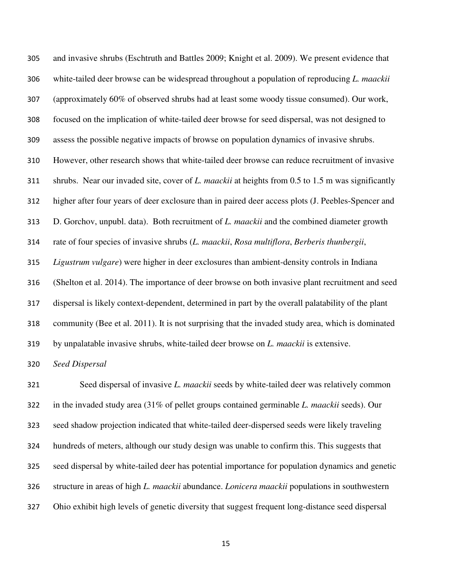and invasive shrubs (Eschtruth and Battles 2009; Knight et al. 2009). We present evidence that white-tailed deer browse can be widespread throughout a population of reproducing *L. maackii* (approximately 60% of observed shrubs had at least some woody tissue consumed). Our work, focused on the implication of white-tailed deer browse for seed dispersal, was not designed to assess the possible negative impacts of browse on population dynamics of invasive shrubs. However, other research shows that white-tailed deer browse can reduce recruitment of invasive shrubs. Near our invaded site, cover of *L. maackii* at heights from 0.5 to 1.5 m was significantly higher after four years of deer exclosure than in paired deer access plots (J. Peebles-Spencer and D. Gorchov, unpubl. data). Both recruitment of *L. maackii* and the combined diameter growth rate of four species of invasive shrubs (*L. maackii*, *Rosa multiflora*, *Berberis thunbergii*, *Ligustrum vulgare*) were higher in deer exclosures than ambient-density controls in Indiana (Shelton et al. 2014). The importance of deer browse on both invasive plant recruitment and seed dispersal is likely context-dependent, determined in part by the overall palatability of the plant community (Bee et al. 2011). It is not surprising that the invaded study area, which is dominated by unpalatable invasive shrubs, white-tailed deer browse on *L. maackii* is extensive.

*Seed Dispersal* 

Seed dispersal of invasive *L. maackii* seeds by white-tailed deer was relatively common in the invaded study area (31% of pellet groups contained germinable *L. maackii* seeds). Our seed shadow projection indicated that white-tailed deer-dispersed seeds were likely traveling hundreds of meters, although our study design was unable to confirm this. This suggests that seed dispersal by white-tailed deer has potential importance for population dynamics and genetic structure in areas of high *L. maackii* abundance. *Lonicera maackii* populations in southwestern Ohio exhibit high levels of genetic diversity that suggest frequent long-distance seed dispersal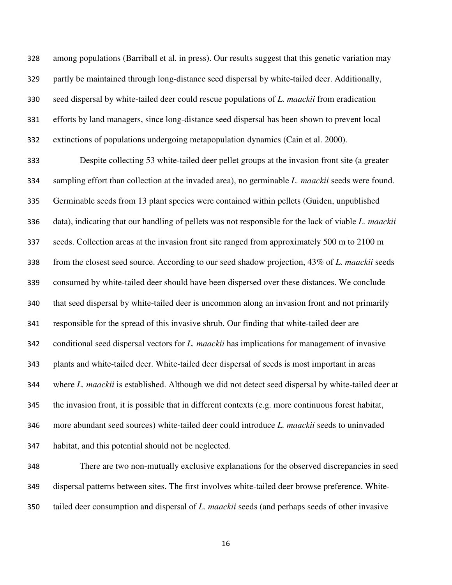among populations (Barriball et al. in press). Our results suggest that this genetic variation may partly be maintained through long-distance seed dispersal by white-tailed deer. Additionally, seed dispersal by white-tailed deer could rescue populations of *L. maackii* from eradication efforts by land managers, since long-distance seed dispersal has been shown to prevent local extinctions of populations undergoing metapopulation dynamics (Cain et al. 2000).

Despite collecting 53 white-tailed deer pellet groups at the invasion front site (a greater sampling effort than collection at the invaded area), no germinable *L. maackii* seeds were found. Germinable seeds from 13 plant species were contained within pellets (Guiden, unpublished data), indicating that our handling of pellets was not responsible for the lack of viable *L. maackii* seeds. Collection areas at the invasion front site ranged from approximately 500 m to 2100 m from the closest seed source. According to our seed shadow projection, 43% of *L. maackii* seeds consumed by white-tailed deer should have been dispersed over these distances. We conclude that seed dispersal by white-tailed deer is uncommon along an invasion front and not primarily responsible for the spread of this invasive shrub. Our finding that white-tailed deer are conditional seed dispersal vectors for *L. maackii* has implications for management of invasive plants and white-tailed deer. White-tailed deer dispersal of seeds is most important in areas where *L. maackii* is established. Although we did not detect seed dispersal by white-tailed deer at the invasion front, it is possible that in different contexts (e.g. more continuous forest habitat, more abundant seed sources) white-tailed deer could introduce *L. maackii* seeds to uninvaded habitat, and this potential should not be neglected.

There are two non-mutually exclusive explanations for the observed discrepancies in seed dispersal patterns between sites. The first involves white-tailed deer browse preference. White-tailed deer consumption and dispersal of *L. maackii* seeds (and perhaps seeds of other invasive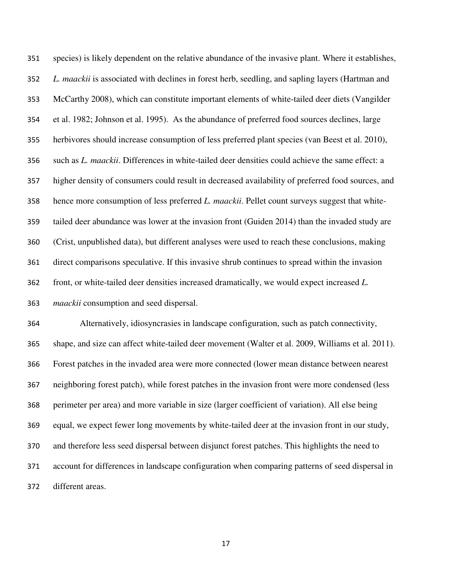species) is likely dependent on the relative abundance of the invasive plant. Where it establishes, *L. maackii* is associated with declines in forest herb, seedling, and sapling layers (Hartman and McCarthy 2008), which can constitute important elements of white-tailed deer diets (Vangilder et al. 1982; Johnson et al. 1995). As the abundance of preferred food sources declines, large herbivores should increase consumption of less preferred plant species (van Beest et al. 2010), such as *L. maackii*. Differences in white-tailed deer densities could achieve the same effect: a higher density of consumers could result in decreased availability of preferred food sources, and hence more consumption of less preferred *L. maackii*. Pellet count surveys suggest that white-tailed deer abundance was lower at the invasion front (Guiden 2014) than the invaded study are (Crist, unpublished data), but different analyses were used to reach these conclusions, making direct comparisons speculative. If this invasive shrub continues to spread within the invasion front, or white-tailed deer densities increased dramatically, we would expect increased *L. maackii* consumption and seed dispersal.

Alternatively, idiosyncrasies in landscape configuration, such as patch connectivity, shape, and size can affect white-tailed deer movement (Walter et al. 2009, Williams et al. 2011). Forest patches in the invaded area were more connected (lower mean distance between nearest neighboring forest patch), while forest patches in the invasion front were more condensed (less perimeter per area) and more variable in size (larger coefficient of variation). All else being equal, we expect fewer long movements by white-tailed deer at the invasion front in our study, and therefore less seed dispersal between disjunct forest patches. This highlights the need to account for differences in landscape configuration when comparing patterns of seed dispersal in different areas.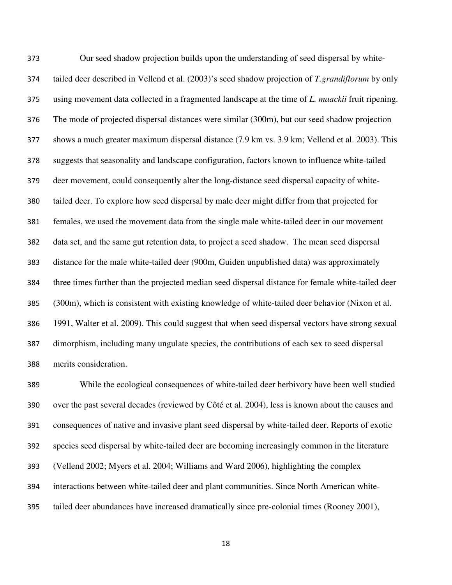Our seed shadow projection builds upon the understanding of seed dispersal by white-tailed deer described in Vellend et al. (2003)'s seed shadow projection of *T.grandiflorum* by only using movement data collected in a fragmented landscape at the time of *L. maackii* fruit ripening. The mode of projected dispersal distances were similar (300m), but our seed shadow projection shows a much greater maximum dispersal distance (7.9 km vs. 3.9 km; Vellend et al. 2003). This suggests that seasonality and landscape configuration, factors known to influence white-tailed deer movement, could consequently alter the long-distance seed dispersal capacity of white-tailed deer. To explore how seed dispersal by male deer might differ from that projected for females, we used the movement data from the single male white-tailed deer in our movement data set, and the same gut retention data, to project a seed shadow. The mean seed dispersal distance for the male white-tailed deer (900m, Guiden unpublished data) was approximately three times further than the projected median seed dispersal distance for female white-tailed deer (300m), which is consistent with existing knowledge of white-tailed deer behavior (Nixon et al. 1991, Walter et al. 2009). This could suggest that when seed dispersal vectors have strong sexual dimorphism, including many ungulate species, the contributions of each sex to seed dispersal merits consideration.

While the ecological consequences of white-tailed deer herbivory have been well studied over the past several decades (reviewed by Côté et al. 2004), less is known about the causes and consequences of native and invasive plant seed dispersal by white-tailed deer. Reports of exotic species seed dispersal by white-tailed deer are becoming increasingly common in the literature (Vellend 2002; Myers et al. 2004; Williams and Ward 2006), highlighting the complex interactions between white-tailed deer and plant communities. Since North American white-tailed deer abundances have increased dramatically since pre-colonial times (Rooney 2001),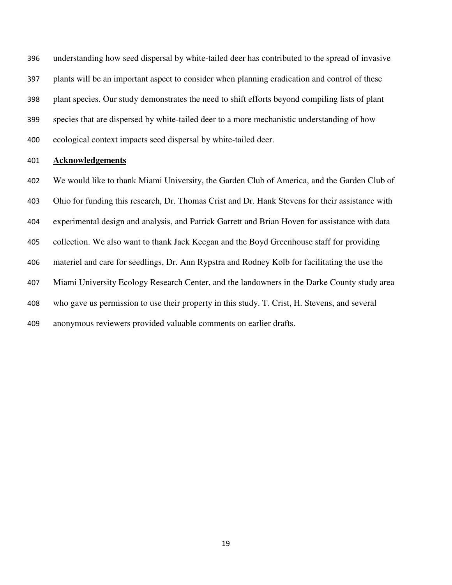understanding how seed dispersal by white-tailed deer has contributed to the spread of invasive plants will be an important aspect to consider when planning eradication and control of these plant species. Our study demonstrates the need to shift efforts beyond compiling lists of plant species that are dispersed by white-tailed deer to a more mechanistic understanding of how ecological context impacts seed dispersal by white-tailed deer.

#### **Acknowledgements**

We would like to thank Miami University, the Garden Club of America, and the Garden Club of Ohio for funding this research, Dr. Thomas Crist and Dr. Hank Stevens for their assistance with experimental design and analysis, and Patrick Garrett and Brian Hoven for assistance with data collection. We also want to thank Jack Keegan and the Boyd Greenhouse staff for providing materiel and care for seedlings, Dr. Ann Rypstra and Rodney Kolb for facilitating the use the Miami University Ecology Research Center, and the landowners in the Darke County study area who gave us permission to use their property in this study. T. Crist, H. Stevens, and several anonymous reviewers provided valuable comments on earlier drafts.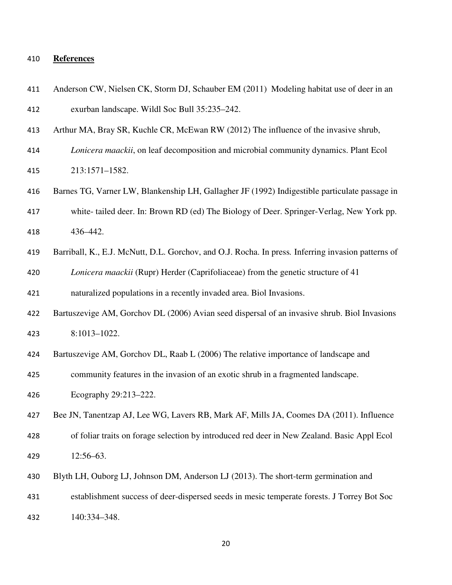#### **References**

| 411 | Anderson CW, Nielsen CK, Storm DJ, Schauber EM (2011) Modeling habitat use of deer in an |
|-----|------------------------------------------------------------------------------------------|
| 412 | exurban landscape. Wildl Soc Bull 35:235–242.                                            |

- Arthur MA, Bray SR, Kuchle CR, McEwan RW (2012) The influence of the invasive shrub,
- *Lonicera maackii*, on leaf decomposition and microbial community dynamics. Plant Ecol 213:1571–1582.
- Barnes TG, Varner LW, Blankenship LH, Gallagher JF (1992) Indigestible particulate passage in

white- tailed deer. In: Brown RD (ed) The Biology of Deer. Springer-Verlag, New York pp. 436–442.

Barriball, K., E.J. McNutt, D.L. Gorchov, and O.J. Rocha. In press*.* Inferring invasion patterns of

*Lonicera maackii* (Rupr) Herder (Caprifoliaceae) from the genetic structure of 41

naturalized populations in a recently invaded area. Biol Invasions.

- Bartuszevige AM, Gorchov DL (2006) Avian seed dispersal of an invasive shrub. Biol Invasions 8:1013–1022.
- Bartuszevige AM, Gorchov DL, Raab L (2006) The relative importance of landscape and
- community features in the invasion of an exotic shrub in a fragmented landscape.
- Ecography 29:213–222.

Bee JN, Tanentzap AJ, Lee WG, Lavers RB, Mark AF, Mills JA, Coomes DA (2011). Influence

of foliar traits on forage selection by introduced red deer in New Zealand. Basic Appl Ecol 12:56–63.

Blyth LH, Ouborg LJ, Johnson DM, Anderson LJ (2013). The short-term germination and

establishment success of deer-dispersed seeds in mesic temperate forests. J Torrey Bot Soc

140:334–348.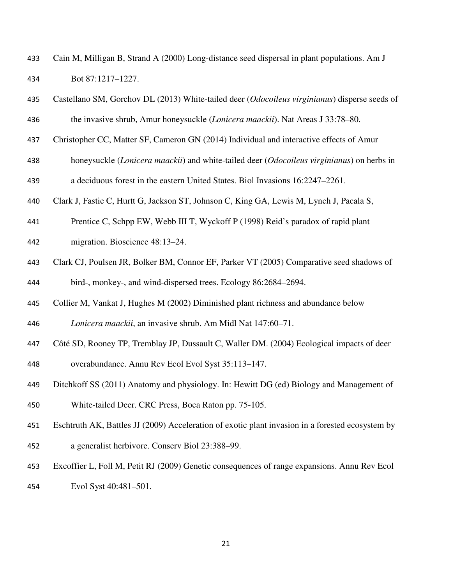| 433 | Cain M, Milligan B, Strand A (2000) Long-distance seed dispersal in plant populations. Am J |
|-----|---------------------------------------------------------------------------------------------|
| 434 | Bot 87:1217-1227.                                                                           |

| 435 | Castellano SM, Gorchov DL (2013) White-tailed deer (Odocoileus virginianus) disperse seeds of    |
|-----|--------------------------------------------------------------------------------------------------|
| 436 | the invasive shrub, Amur honeysuckle (Lonicera maackii). Nat Areas J 33:78-80.                   |
| 437 | Christopher CC, Matter SF, Cameron GN (2014) Individual and interactive effects of Amur          |
| 438 | honeysuckle (Lonicera maackii) and white-tailed deer (Odocoileus virginianus) on herbs in        |
| 439 | a deciduous forest in the eastern United States. Biol Invasions 16:2247-2261.                    |
| 440 | Clark J, Fastie C, Hurtt G, Jackson ST, Johnson C, King GA, Lewis M, Lynch J, Pacala S,          |
| 441 | Prentice C, Schpp EW, Webb III T, Wyckoff P (1998) Reid's paradox of rapid plant                 |
| 442 | migration. Bioscience 48:13-24.                                                                  |
| 443 | Clark CJ, Poulsen JR, Bolker BM, Connor EF, Parker VT (2005) Comparative seed shadows of         |
| 444 | bird-, monkey-, and wind-dispersed trees. Ecology 86:2684-2694.                                  |
| 445 | Collier M, Vankat J, Hughes M (2002) Diminished plant richness and abundance below               |
| 446 | Lonicera maackii, an invasive shrub. Am Midl Nat 147:60-71.                                      |
| 447 | Côté SD, Rooney TP, Tremblay JP, Dussault C, Waller DM. (2004) Ecological impacts of deer        |
| 448 | overabundance. Annu Rev Ecol Evol Syst 35:113-147.                                               |
| 449 | Ditchkoff SS (2011) Anatomy and physiology. In: Hewitt DG (ed) Biology and Management of         |
| 450 | White-tailed Deer. CRC Press, Boca Raton pp. 75-105.                                             |
| 451 | Eschtruth AK, Battles JJ (2009) Acceleration of exotic plant invasion in a forested ecosystem by |

- a generalist herbivore. Conserv Biol 23:388–99.
- Excoffier L, Foll M, Petit RJ (2009) Genetic consequences of range expansions. Annu Rev Ecol
- Evol Syst 40:481–501.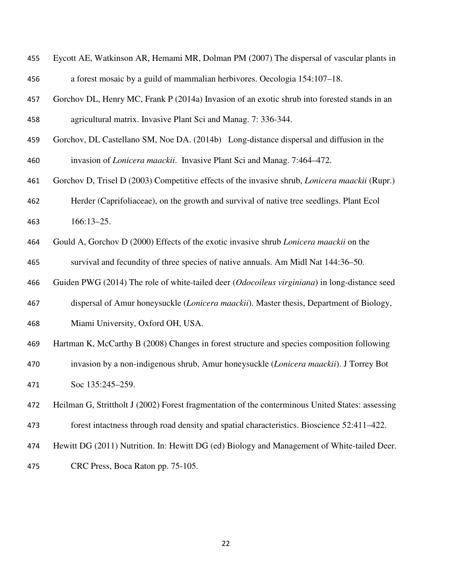| 455 | Eycott AE, Watkinson AR, Hemami MR, Dolman PM (2007) The dispersal of vascular plants in              |  |  |  |
|-----|-------------------------------------------------------------------------------------------------------|--|--|--|
| 456 | a forest mosaic by a guild of mammalian herbivores. Oecologia 154:107-18.                             |  |  |  |
| 457 | Gorchov DL, Henry MC, Frank P (2014a) Invasion of an exotic shrub into forested stands in an          |  |  |  |
| 458 | agricultural matrix. Invasive Plant Sci and Manag. 7: 336-344.                                        |  |  |  |
| 459 | Gorchov, DL Castellano SM, Noe DA. (2014b) Long-distance dispersal and diffusion in the               |  |  |  |
| 460 | invasion of <i>Lonicera maackii</i> . Invasive Plant Sci and Manag. 7:464–472.                        |  |  |  |
| 461 | Gorchov D, Trisel D (2003) Competitive effects of the invasive shrub, <i>Lonicera maackii</i> (Rupr.) |  |  |  |
| 462 | Herder (Caprifoliaceae), on the growth and survival of native tree seedlings. Plant Ecol              |  |  |  |
| 463 | $166:13-25.$                                                                                          |  |  |  |
| 464 | Gould A, Gorchov D (2000) Effects of the exotic invasive shrub Lonicera maackii on the                |  |  |  |
| 465 | survival and fecundity of three species of native annuals. Am Midl Nat 144:36-50.                     |  |  |  |
| 466 | Guiden PWG (2014) The role of white-tailed deer (Odocoileus virginiana) in long-distance seed         |  |  |  |
| 467 | dispersal of Amur honeysuckle (Lonicera maackii). Master thesis, Department of Biology,               |  |  |  |
| 468 | Miami University, Oxford OH, USA.                                                                     |  |  |  |
| 469 | Hartman K, McCarthy B (2008) Changes in forest structure and species composition following            |  |  |  |
| 470 | invasion by a non-indigenous shrub, Amur honeysuckle (Lonicera maackii). J Torrey Bot                 |  |  |  |
| 471 | Soc 135:245-259.                                                                                      |  |  |  |
| 472 | Heilman G, Strittholt J (2002) Forest fragmentation of the conterminous United States: assessing      |  |  |  |
| 473 | forest intactness through road density and spatial characteristics. Bioscience 52:411–422.            |  |  |  |
| 474 | Hewitt DG (2011) Nutrition. In: Hewitt DG (ed) Biology and Management of White-tailed Deer.           |  |  |  |
| 475 | CRC Press, Boca Raton pp. 75-105.                                                                     |  |  |  |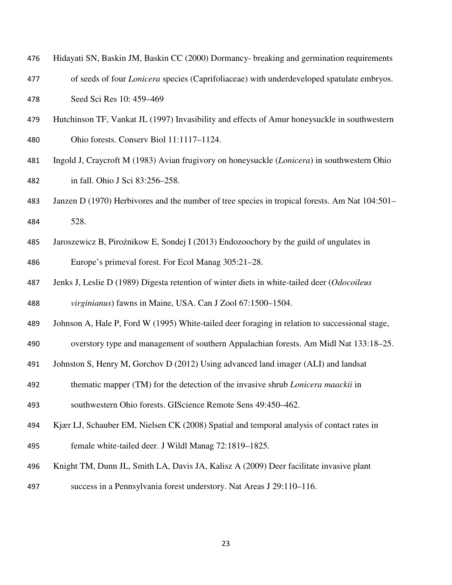| 476 | Hidayati SN, Baskin JM, Baskin CC (2000) Dormancy- breaking and germination requirements         |
|-----|--------------------------------------------------------------------------------------------------|
| 477 | of seeds of four <i>Lonicera</i> species (Caprifoliaceae) with underdeveloped spatulate embryos. |
| 478 | Seed Sci Res 10: 459–469                                                                         |
|     |                                                                                                  |

- Hutchinson TF, Vankat JL (1997) Invasibility and effects of Amur honeysuckle in southwestern Ohio forests. Conserv Biol 11:1117–1124.
- Ingold J, Craycroft M (1983) Avian frugivory on honeysuckle (*Lonicera*) in southwestern Ohio in fall. Ohio J Sci 83:256–258.
- Janzen D (1970) Herbivores and the number of tree species in tropical forests. Am Nat 104:501– 528.
- 485 Jaroszewicz B, Pirożnikow E, Sondej I (2013) Endozoochory by the guild of ungulates in Europe's primeval forest. For Ecol Manag 305:21–28.
- Jenks J, Leslie D (1989) Digesta retention of winter diets in white-tailed deer (*Odocoileus virginianus*) fawns in Maine, USA. Can J Zool 67:1500–1504.
- Johnson A, Hale P, Ford W (1995) White-tailed deer foraging in relation to successional stage,
- overstory type and management of southern Appalachian forests. Am Midl Nat 133:18–25.
- Johnston S, Henry M, Gorchov D (2012) Using advanced land imager (ALI) and landsat
- thematic mapper (TM) for the detection of the invasive shrub *Lonicera maackii* in
- southwestern Ohio forests. GIScience Remote Sens 49:450–462.
- Kjær LJ, Schauber EM, Nielsen CK (2008) Spatial and temporal analysis of contact rates in female white-tailed deer. J Wildl Manag 72:1819–1825.
- Knight TM, Dunn JL, Smith LA, Davis JA, Kalisz A (2009) Deer facilitate invasive plant
- success in a Pennsylvania forest understory. Nat Areas J 29:110–116.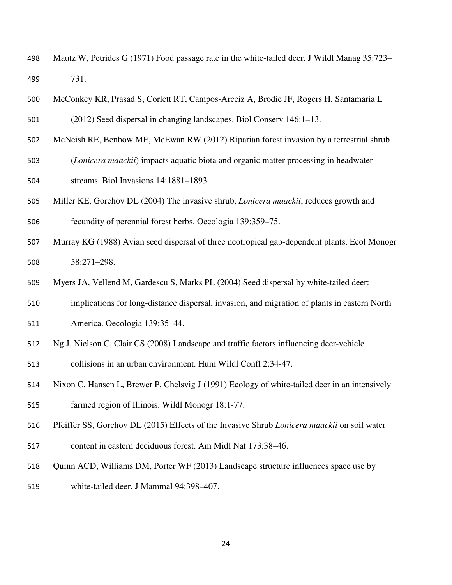- Mautz W, Petrides G (1971) Food passage rate in the white-tailed deer. J Wildl Manag 35:723– 731.
- McConkey KR, Prasad S, Corlett RT, Campos-Arceiz A, Brodie JF, Rogers H, Santamaria L
- (2012) Seed dispersal in changing landscapes. Biol Conserv 146:1–13.
- McNeish RE, Benbow ME, McEwan RW (2012) Riparian forest invasion by a terrestrial shrub
- (*Lonicera maackii*) impacts aquatic biota and organic matter processing in headwater streams. Biol Invasions 14:1881–1893.
- Miller KE, Gorchov DL (2004) The invasive shrub, *Lonicera maackii*, reduces growth and fecundity of perennial forest herbs. Oecologia 139:359–75.
- Murray KG (1988) Avian seed dispersal of three neotropical gap-dependent plants. Ecol Monogr 58:271–298.
- Myers JA, Vellend M, Gardescu S, Marks PL (2004) Seed dispersal by white-tailed deer:
- implications for long-distance dispersal, invasion, and migration of plants in eastern North
- America. Oecologia 139:35–44.
- Ng J, Nielson C, Clair CS (2008) Landscape and traffic factors influencing deer-vehicle
- collisions in an urban environment. Hum Wildl Confl 2:34-47.
- Nixon C, Hansen L, Brewer P, Chelsvig J (1991) Ecology of white-tailed deer in an intensively farmed region of Illinois. Wildl Monogr 18:1-77.
- Pfeiffer SS, Gorchov DL (2015) Effects of the Invasive Shrub *Lonicera maackii* on soil water
- content in eastern deciduous forest. Am Midl Nat 173:38–46.
- Quinn ACD, Williams DM, Porter WF (2013) Landscape structure influences space use by
- white-tailed deer. J Mammal 94:398–407.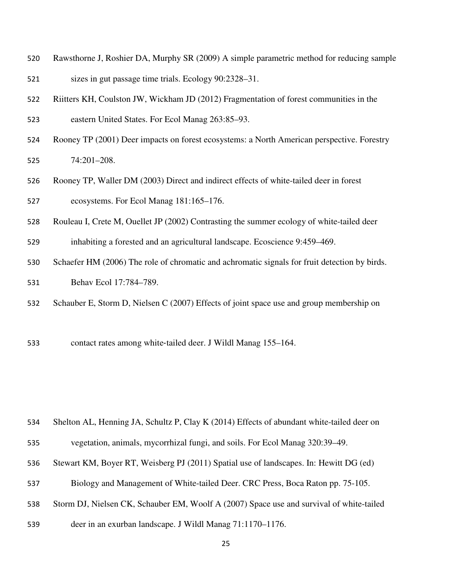- Rawsthorne J, Roshier DA, Murphy SR (2009) A simple parametric method for reducing sample sizes in gut passage time trials. Ecology 90:2328–31.
- Riitters KH, Coulston JW, Wickham JD (2012) Fragmentation of forest communities in the
- eastern United States. For Ecol Manag 263:85–93.
- Rooney TP (2001) Deer impacts on forest ecosystems: a North American perspective. Forestry 74:201–208.
- Rooney TP, Waller DM (2003) Direct and indirect effects of white-tailed deer in forest ecosystems. For Ecol Manag 181:165–176.
- Rouleau I, Crete M, Ouellet JP (2002) Contrasting the summer ecology of white-tailed deer
- inhabiting a forested and an agricultural landscape. Ecoscience 9:459–469.
- Schaefer HM (2006) The role of chromatic and achromatic signals for fruit detection by birds. Behav Ecol 17:784–789.
- Schauber E, Storm D, Nielsen C (2007) Effects of joint space use and group membership on
- 533 contact rates among white-tailed deer. J Wildl Manag 155–164.

- Shelton AL, Henning JA, Schultz P, Clay K (2014) Effects of abundant white-tailed deer on
- vegetation, animals, mycorrhizal fungi, and soils. For Ecol Manag 320:39–49.
- Stewart KM, Boyer RT, Weisberg PJ (2011) Spatial use of landscapes. In: Hewitt DG (ed)
- Biology and Management of White-tailed Deer. CRC Press, Boca Raton pp. 75-105.
- Storm DJ, Nielsen CK, Schauber EM, Woolf A (2007) Space use and survival of white-tailed
- deer in an exurban landscape. J Wildl Manag 71:1170–1176.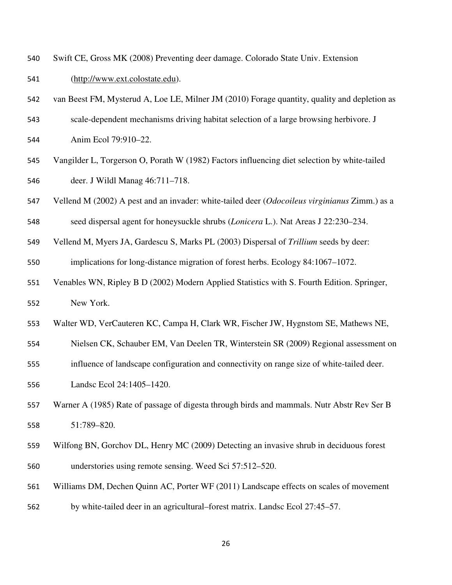- Swift CE, Gross MK (2008) Preventing deer damage. Colorado State Univ. Extension
- (http://www.ext.colostate.edu).
- van Beest FM, Mysterud A, Loe LE, Milner JM (2010) Forage quantity, quality and depletion as
- scale-dependent mechanisms driving habitat selection of a large browsing herbivore. J
- Anim Ecol 79:910–22.
- Vangilder L, Torgerson O, Porath W (1982) Factors influencing diet selection by white-tailed deer. J Wildl Manag 46:711–718.
- Vellend M (2002) A pest and an invader: white-tailed deer (*Odocoileus virginianus* Zimm.) as a
- seed dispersal agent for honeysuckle shrubs (*Lonicera* L.). Nat Areas J 22:230–234.
- Vellend M, Myers JA, Gardescu S, Marks PL (2003) Dispersal of *Trillium* seeds by deer: implications for long-distance migration of forest herbs. Ecology 84:1067–1072.
- Venables WN, Ripley B D (2002) Modern Applied Statistics with S. Fourth Edition. Springer, New York.
- Walter WD, VerCauteren KC, Campa H, Clark WR, Fischer JW, Hygnstom SE, Mathews NE,
- Nielsen CK, Schauber EM, Van Deelen TR, Winterstein SR (2009) Regional assessment on
- influence of landscape configuration and connectivity on range size of white-tailed deer.
- Landsc Ecol 24:1405–1420.
- Warner A (1985) Rate of passage of digesta through birds and mammals. Nutr Abstr Rev Ser B 51:789–820.
- Wilfong BN, Gorchov DL, Henry MC (2009) Detecting an invasive shrub in deciduous forest understories using remote sensing. Weed Sci 57:512–520.
- Williams DM, Dechen Quinn AC, Porter WF (2011) Landscape effects on scales of movement
- by white-tailed deer in an agricultural–forest matrix. Landsc Ecol 27:45–57.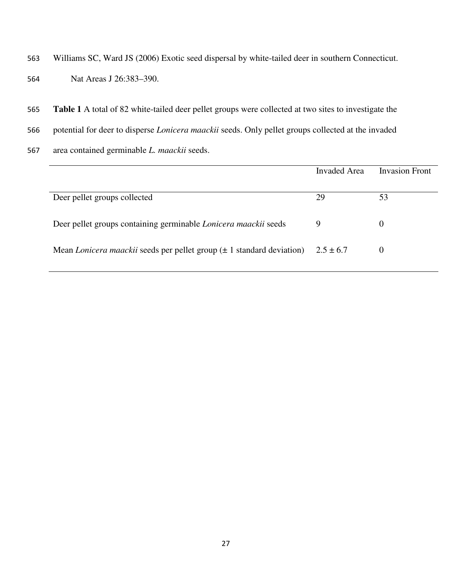- 563 Williams SC, Ward JS (2006) Exotic seed dispersal by white-tailed deer in southern Connecticut.
- 564 Nat Areas J 26:383–390.
- 565 **Table 1** A total of 82 white-tailed deer pellet groups were collected at two sites to investigate the
- 566 potential for deer to disperse *Lonicera maackii* seeds. Only pellet groups collected at the invaded
- 567 area contained germinable *L. maackii* seeds.

|                                                                                          | Invaded Area | Invasion Front |
|------------------------------------------------------------------------------------------|--------------|----------------|
| Deer pellet groups collected                                                             | 29           | 53             |
| Deer pellet groups containing germinable <i>Lonicera maackii</i> seeds                   | 9            | $\theta$       |
| Mean Lonicera maackii seeds per pellet group $(\pm 1)$ standard deviation) $2.5 \pm 6.7$ |              | O              |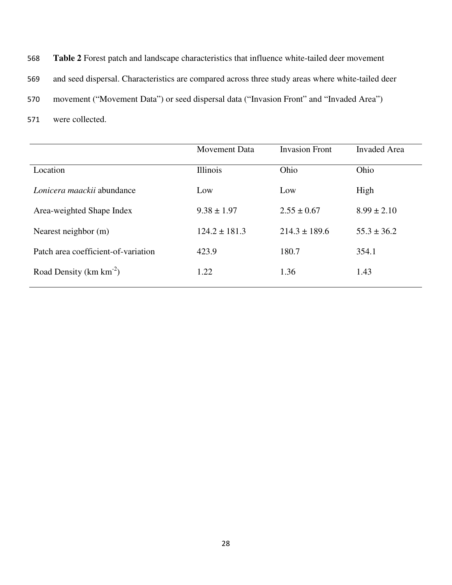568 **Table 2** Forest patch and landscape characteristics that influence white-tailed deer movement 569 and seed dispersal. Characteristics are compared across three study areas where white-tailed deer 570 movement ("Movement Data") or seed dispersal data ("Invasion Front" and "Invaded Area")

571 were collected.

|                                     | <b>Movement Data</b> | <b>Invasion Front</b> | <b>Invaded Area</b> |
|-------------------------------------|----------------------|-----------------------|---------------------|
| Location                            | <b>Illinois</b>      | Ohio                  | Ohio                |
| Lonicera maackii abundance          | Low                  | Low                   | High                |
| Area-weighted Shape Index           | $9.38 \pm 1.97$      | $2.55 \pm 0.67$       | $8.99 \pm 2.10$     |
| Nearest neighbor (m)                | $124.2 \pm 181.3$    | $214.3 \pm 189.6$     | $55.3 \pm 36.2$     |
| Patch area coefficient-of-variation | 423.9                | 180.7                 | 354.1               |
| Road Density ( $km \, km^{-2}$ )    | 1.22                 | 1.36                  | 1.43                |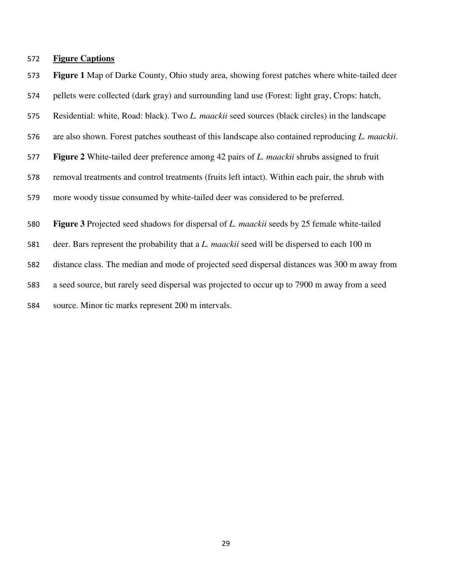### **Figure Captions**

**Figure 1** Map of Darke County, Ohio study area, showing forest patches where white-tailed deer

- pellets were collected (dark gray) and surrounding land use (Forest: light gray, Crops: hatch,
- Residential: white, Road: black). Two *L. maackii* seed sources (black circles) in the landscape
- are also shown. Forest patches southeast of this landscape also contained reproducing *L. maackii*.
- **Figure 2** White-tailed deer preference among 42 pairs of *L. maackii* shrubs assigned to fruit
- removal treatments and control treatments (fruits left intact). Within each pair, the shrub with
- more woody tissue consumed by white-tailed deer was considered to be preferred.
- **Figure 3** Projected seed shadows for dispersal of *L. maackii* seeds by 25 female white-tailed
- deer. Bars represent the probability that a *L. maackii* seed will be dispersed to each 100 m

distance class. The median and mode of projected seed dispersal distances was 300 m away from

- a seed source, but rarely seed dispersal was projected to occur up to 7900 m away from a seed
- source. Minor tic marks represent 200 m intervals.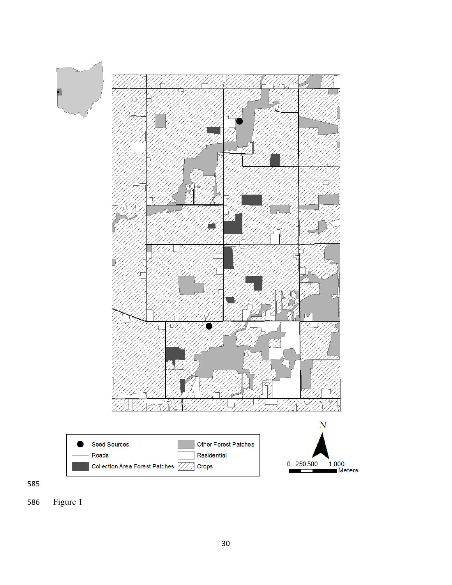



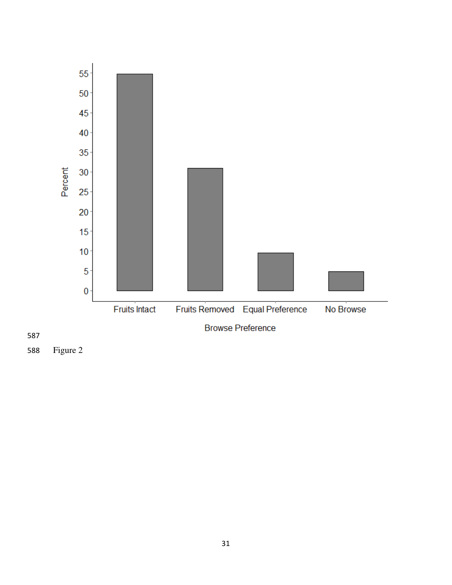

Figure 2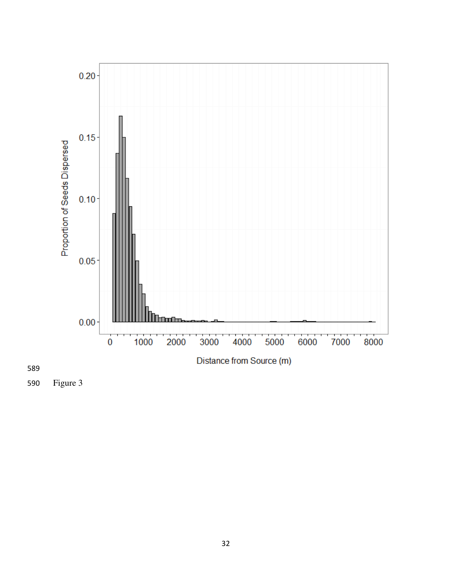